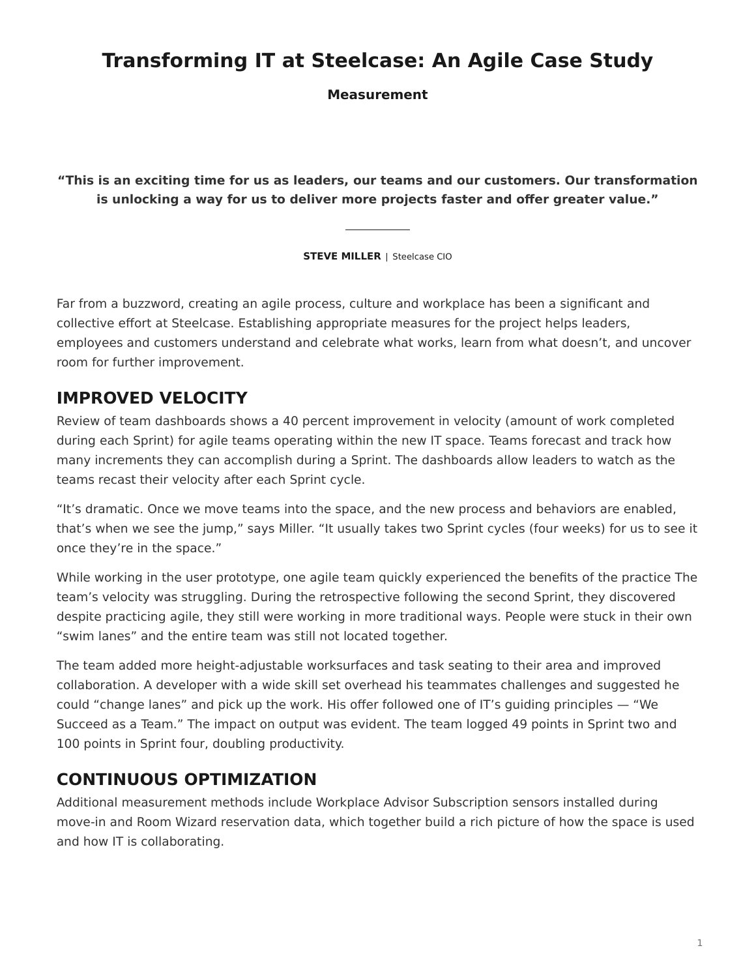## **Transforming IT at Steelcase: An Agile Case Study**

**Measurement**

**"This is an exciting time for us as leaders, our teams and our customers. Our transformation is unlocking a way for us to deliver more projects faster and offer greater value."**

**STEVE MILLER** | Steelcase CIO

Far from a buzzword, creating an agile process, culture and workplace has been a significant and collective effort at Steelcase. Establishing appropriate measures for the project helps leaders, employees and customers understand and celebrate what works, learn from what doesn't, and uncover room for further improvement.

#### **IMPROVED VELOCITY**

Review of team dashboards shows a 40 percent improvement in velocity (amount of work completed during each Sprint) for agile teams operating within the new IT space. Teams forecast and track how many increments they can accomplish during a Sprint. The dashboards allow leaders to watch as the teams recast their velocity after each Sprint cycle.

"It's dramatic. Once we move teams into the space, and the new process and behaviors are enabled, that's when we see the jump," says Miller. "It usually takes two Sprint cycles (four weeks) for us to see it once they're in the space."

While working in the user prototype, one agile team quickly experienced the benefits of the practice The team's velocity was struggling. During the retrospective following the second Sprint, they discovered despite practicing agile, they still were working in more traditional ways. People were stuck in their own "swim lanes" and the entire team was still not located together.

The team added more height-adjustable worksurfaces and task seating to their area and improved collaboration. A developer with a wide skill set overhead his teammates challenges and suggested he could "change lanes" and pick up the work. His offer followed one of IT's guiding principles — "We Succeed as a Team." The impact on output was evident. The team logged 49 points in Sprint two and 100 points in Sprint four, doubling productivity.

### **CONTINUOUS OPTIMIZATION**

Additional measurement methods include Workplace Advisor Subscription sensors installed during move-in and Room Wizard reservation data, which together build a rich picture of how the space is used and how IT is collaborating.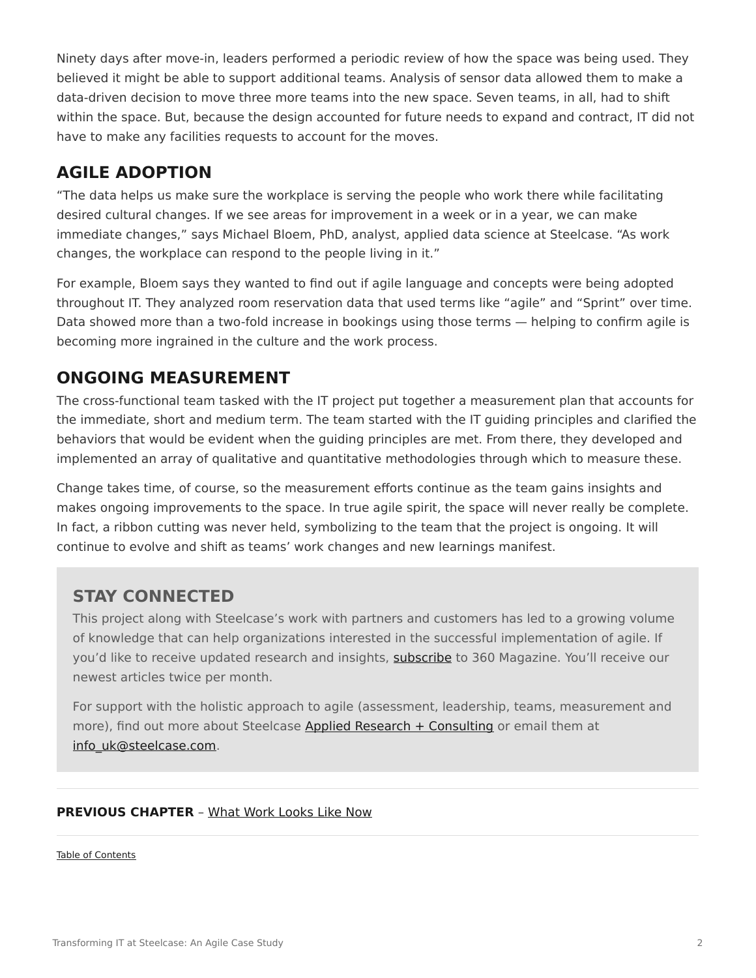Ninety days after move-in, leaders performed a periodic review of how the space was being used. They believed it might be able to support additional teams. Analysis of sensor data allowed them to make a data-driven decision to move three more teams into the new space. Seven teams, in all, had to shift within the space. But, because the design accounted for future needs to expand and contract, IT did not have to make any facilities requests to account for the moves.

#### **AGILE ADOPTION**

"The data helps us make sure the workplace is serving the people who work there while facilitating desired cultural changes. If we see areas for improvement in a week or in a year, we can make immediate changes," says Michael Bloem, PhD, analyst, applied data science at Steelcase. "As work changes, the workplace can respond to the people living in it."

For example, Bloem says they wanted to find out if agile language and concepts were being adopted throughout IT. They analyzed room reservation data that used terms like "agile" and "Sprint" over time. Data showed more than a two-fold increase in bookings using those terms — helping to confirm agile is becoming more ingrained in the culture and the work process.

#### **ONGOING MEASUREMENT**

The cross-functional team tasked with the IT project put together a measurement plan that accounts for the immediate, short and medium term. The team started with the IT guiding principles and clarified the behaviors that would be evident when the guiding principles are met. From there, they developed and implemented an array of qualitative and quantitative methodologies through which to measure these.

Change takes time, of course, so the measurement efforts continue as the team gains insights and makes ongoing improvements to the space. In true agile spirit, the space will never really be complete. In fact, a ribbon cutting was never held, symbolizing to the team that the project is ongoing. It will continue to evolve and shift as teams' work changes and new learnings manifest.

#### **STAY CONNECTED**

This project along with Steelcase's work with partners and customers has led to a growing volume of knowledge that can help organizations interested in the successful implementation of agile. If you'd like to receive updated research and insights, [subscribe](https://info.steelcase.com/360/newsletter-subscription) to 360 Magazine. You'll receive our newest articles twice per month.

For support with the holistic approach to agile (assessment, leadership, teams, measurement and more), find out more about Steelcase [Applied Research + Consulting](https://www.steelcase.com/eu-en/about/steelcase/consulting/) or email them at [info\\_uk@steelcase.com](mailto:info_uk@steelcase.com).

#### **PREVIOUS CHAPTER** – [What Work Looks Like Now](https://www.steelcase.com/eu-en/research/articles/agile-case-study-what-works-looks-like-now/)

[Table of Contents](https://www.steelcase.com/eu-en/research/articles/agile-case-study/)